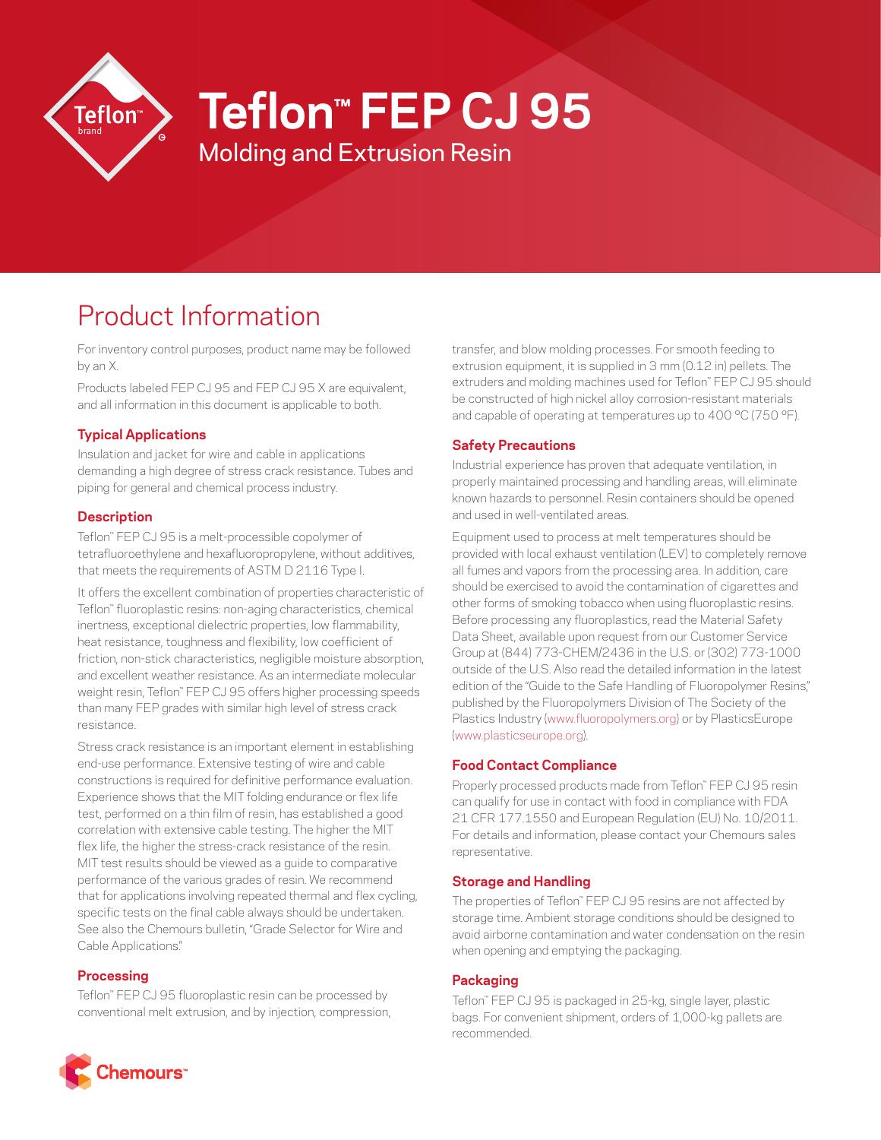

# **Teflon™ FEP CJ 95**

Molding and Extrusion Resin

# Product Information

For inventory control purposes, product name may be followed by an X.

Products labeled FEP CJ 95 and FEP CJ 95 X are equivalent, and all information in this document is applicable to both.

# **Typical Applications**

Insulation and jacket for wire and cable in applications demanding a high degree of stress crack resistance. Tubes and piping for general and chemical process industry.

## **Description**

Teflon™ FEP CJ 95 is a melt-processible copolymer of tetrafluoroethylene and hexafluoropropylene, without additives, that meets the requirements of ASTM D 2116 Type I.

It offers the excellent combination of properties characteristic of Teflon™ fluoroplastic resins: non-aging characteristics, chemical inertness, exceptional dielectric properties, low flammability, heat resistance, toughness and flexibility, low coefficient of friction, non-stick characteristics, negligible moisture absorption, and excellent weather resistance. As an intermediate molecular weight resin, Teflon™ FEP CJ 95 offers higher processing speeds than many FEP grades with similar high level of stress crack resistance.

Stress crack resistance is an important element in establishing end-use performance. Extensive testing of wire and cable constructions is required for definitive performance evaluation. Experience shows that the MIT folding endurance or flex life test, performed on a thin film of resin, has established a good correlation with extensive cable testing. The higher the MIT flex life, the higher the stress-crack resistance of the resin. MIT test results should be viewed as a guide to comparative performance of the various grades of resin. We recommend that for applications involving repeated thermal and flex cycling, specific tests on the final cable always should be undertaken. See also the Chemours bulletin, "Grade Selector for Wire and Cable Applications."

#### **Processing**

Teflon™ FEP CJ 95 fluoroplastic resin can be processed by conventional melt extrusion, and by injection, compression, transfer, and blow molding processes. For smooth feeding to extrusion equipment, it is supplied in 3 mm (0.12 in) pellets. The extruders and molding machines used for Teflon™ FEP CJ 95 should be constructed of high nickel alloy corrosion-resistant materials and capable of operating at temperatures up to 400 °C (750 °F).

### **Safety Precautions**

Industrial experience has proven that adequate ventilation, in properly maintained processing and handling areas, will eliminate known hazards to personnel. Resin containers should be opened and used in well-ventilated areas.

Equipment used to process at melt temperatures should be provided with local exhaust ventilation (LEV) to completely remove all fumes and vapors from the processing area. In addition, care should be exercised to avoid the contamination of cigarettes and other forms of smoking tobacco when using fluoroplastic resins. Before processing any fluoroplastics, read the Material Safety Data Sheet, available upon request from our Customer Service Group at (844) 773-CHEM/2436 in the U.S. or (302) 773-1000 outside of the U.S. Also read the detailed information in the latest edition of the "Guide to the Safe Handling of Fluoropolymer Resins," published by the Fluoropolymers Division of The Society of the Plastics Industry [\(www.fluoropolymers.org](http://www.fluoropolymers.org)) or by PlasticsEurope [\(www.plasticseurope.org](http://www.plasticseurope.org)).

#### **Food Contact Compliance**

Properly processed products made from Teflon™ FEP CJ 95 resin can qualify for use in contact with food in compliance with FDA 21 CFR 177.1550 and European Regulation (EU) No. 10/2011. For details and information, please contact your Chemours sales representative.

#### **Storage and Handling**

The properties of Teflon™ FEP CJ 95 resins are not affected by storage time. Ambient storage conditions should be designed to avoid airborne contamination and water condensation on the resin when opening and emptying the packaging.

#### **Packaging**

Teflon™ FEP CJ 95 is packaged in 25-kg, single layer, plastic bags. For convenient shipment, orders of 1,000-kg pallets are recommended.